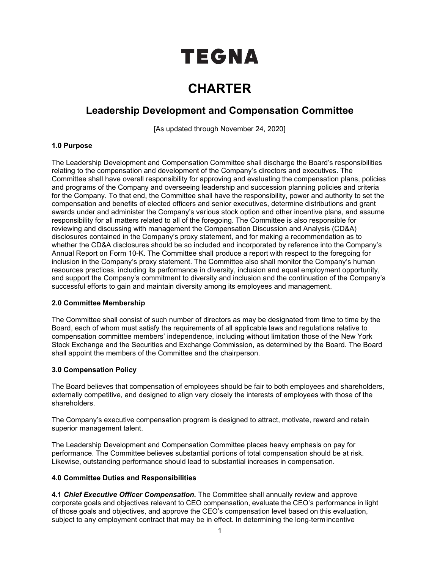# **TEGNA**

## **CHARTER**

### **Leadership Development and Compensation Committee**

[As updated through November 24, 2020]

#### **1.0 Purpose**

The Leadership Development and Compensation Committee shall discharge the Board's responsibilities relating to the compensation and development of the Company's directors and executives. The Committee shall have overall responsibility for approving and evaluating the compensation plans, policies and programs of the Company and overseeing leadership and succession planning policies and criteria for the Company. To that end, the Committee shall have the responsibility, power and authority to set the compensation and benefits of elected officers and senior executives, determine distributions and grant awards under and administer the Company's various stock option and other incentive plans, and assume responsibility for all matters related to all of the foregoing. The Committee is also responsible for reviewing and discussing with management the Compensation Discussion and Analysis (CD&A) disclosures contained in the Company's proxy statement, and for making a recommendation as to whether the CD&A disclosures should be so included and incorporated by reference into the Company's Annual Report on Form 10-K. The Committee shall produce a report with respect to the foregoing for inclusion in the Company's proxy statement. The Committee also shall monitor the Company's human resources practices, including its performance in diversity, inclusion and equal employment opportunity, and support the Company's commitment to diversity and inclusion and the continuation of the Company's successful efforts to gain and maintain diversity among its employees and management.

#### **2.0 Committee Membership**

The Committee shall consist of such number of directors as may be designated from time to time by the Board, each of whom must satisfy the requirements of all applicable laws and regulations relative to compensation committee members' independence, including without limitation those of the New York Stock Exchange and the Securities and Exchange Commission, as determined by the Board. The Board shall appoint the members of the Committee and the chairperson.

#### **3.0 Compensation Policy**

The Board believes that compensation of employees should be fair to both employees and shareholders, externally competitive, and designed to align very closely the interests of employees with those of the shareholders.

The Company's executive compensation program is designed to attract, motivate, reward and retain superior management talent.

The Leadership Development and Compensation Committee places heavy emphasis on pay for performance. The Committee believes substantial portions of total compensation should be at risk. Likewise, outstanding performance should lead to substantial increases in compensation.

#### **4.0 Committee Duties and Responsibilities**

**4.1** *Chief Executive Officer Compensation.* The Committee shall annually review and approve corporate goals and objectives relevant to CEO compensation, evaluate the CEO's performance in light of those goals and objectives, and approve the CEO's compensation level based on this evaluation, subject to any employment contract that may be in effect. In determining the long-termincentive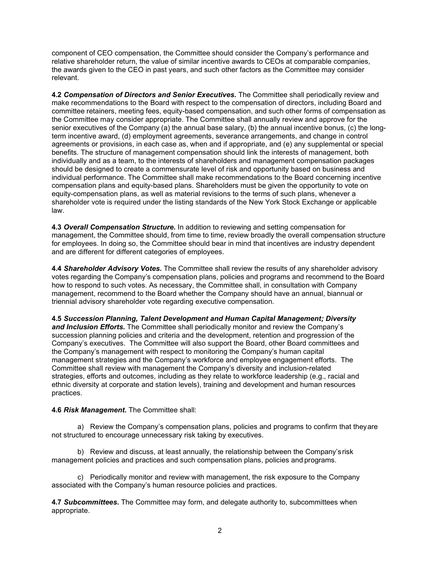component of CEO compensation, the Committee should consider the Company's performance and relative shareholder return, the value of similar incentive awards to CEOs at comparable companies, the awards given to the CEO in past years, and such other factors as the Committee may consider relevant.

**4.2** *Compensation of Directors and Senior Executives.* The Committee shall periodically review and make recommendations to the Board with respect to the compensation of directors, including Board and committee retainers, meeting fees, equity-based compensation, and such other forms of compensation as the Committee may consider appropriate. The Committee shall annually review and approve for the senior executives of the Company (a) the annual base salary, (b) the annual incentive bonus, (c) the longterm incentive award, (d) employment agreements, severance arrangements, and change in control agreements or provisions, in each case as, when and if appropriate, and (e) any supplemental or special benefits. The structure of management compensation should link the interests of management, both individually and as a team, to the interests of shareholders and management compensation packages should be designed to create a commensurate level of risk and opportunity based on business and individual performance. The Committee shall make recommendations to the Board concerning incentive compensation plans and equity-based plans. Shareholders must be given the opportunity to vote on equity-compensation plans, as well as material revisions to the terms of such plans, whenever a shareholder vote is required under the listing standards of the New York Stock Exchange or applicable law.

**4.3** *Overall Compensation Structure.* In addition to reviewing and setting compensation for management, the Committee should, from time to time, review broadly the overall compensation structure for employees. In doing so, the Committee should bear in mind that incentives are industry dependent and are different for different categories of employees.

**4.4** *Shareholder Advisory Votes.* The Committee shall review the results of any shareholder advisory votes regarding the Company's compensation plans, policies and programs and recommend to the Board how to respond to such votes. As necessary, the Committee shall, in consultation with Company management, recommend to the Board whether the Company should have an annual, biannual or triennial advisory shareholder vote regarding executive compensation.

**4.5** *Succession Planning, Talent Development and Human Capital Management; Diversity and Inclusion Efforts.* The Committee shall periodically monitor and review the Company's succession planning policies and criteria and the development, retention and progression of the Company's executives. The Committee will also support the Board, other Board committees and the Company's management with respect to monitoring the Company's human capital management strategies and the Company's workforce and employee engagement efforts. The Committee shall review with management the Company's diversity and inclusion-related strategies, efforts and outcomes, including as they relate to workforce leadership (e.g., racial and ethnic diversity at corporate and station levels), training and development and human resources practices.

#### **4.6** *Risk Management.* The Committee shall:

a) Review the Company's compensation plans, policies and programs to confirm that theyare not structured to encourage unnecessary risk taking by executives.

b) Review and discuss, at least annually, the relationship between the Company'srisk management policies and practices and such compensation plans, policies and programs.

c) Periodically monitor and review with management, the risk exposure to the Company associated with the Company's human resource policies and practices.

**4.7** *Subcommittees.* The Committee may form, and delegate authority to, subcommittees when appropriate.